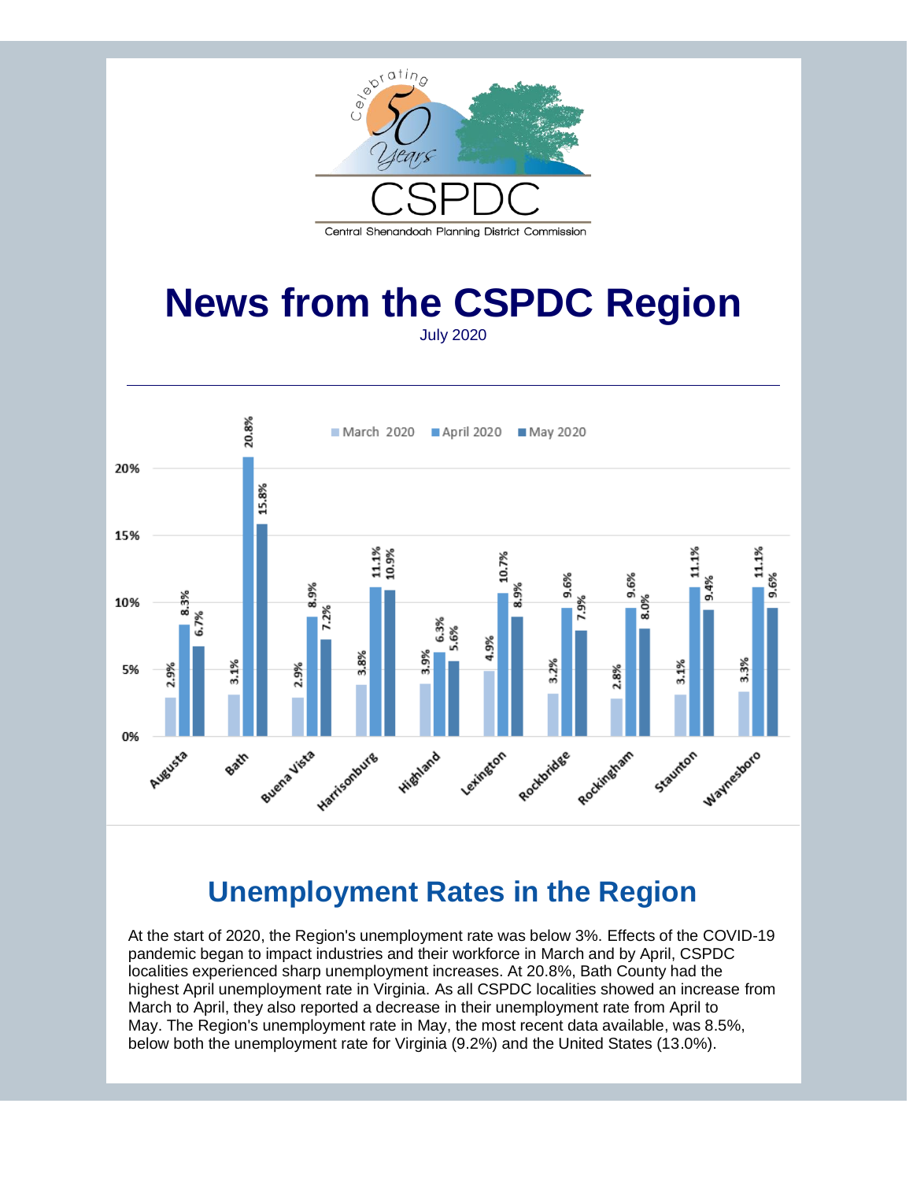

## **News from the CSPDC Region** July 2020

20.8% March 2020 April 2020 May 2020 20% 15.8% 15% 11.1%<br>10.9% 11.1% 11.1% 10.7%  $9.6%$ 9.6%  $9.4%$ 8.9% 8.9% 8.3% 10% 6.7%  $6.3%$ 5.6% 4.9% 3.8% 3.9% 3.3% 3.1% 3.1%  $\frac{2\%}{2}$ 2.9% 2.9% 5% 2.8% 0% Buena Vista Rockingham Harrisonburg Rockhridge Waynestoro Leximaton Staunton **Highland** Augusta Bair

# **Unemployment Rates in the Region**

At the start of 2020, the Region's unemployment rate was below 3%. Effects of the COVID-19 pandemic began to impact industries and their workforce in March and by April, CSPDC localities experienced sharp unemployment increases. At 20.8%, Bath County had the highest April unemployment rate in Virginia. As all CSPDC localities showed an increase from March to April, they also reported a decrease in their unemployment rate from April to May. The Region's unemployment rate in May, the most recent data available, was 8.5%, below both the unemployment rate for Virginia (9.2%) and the United States (13.0%).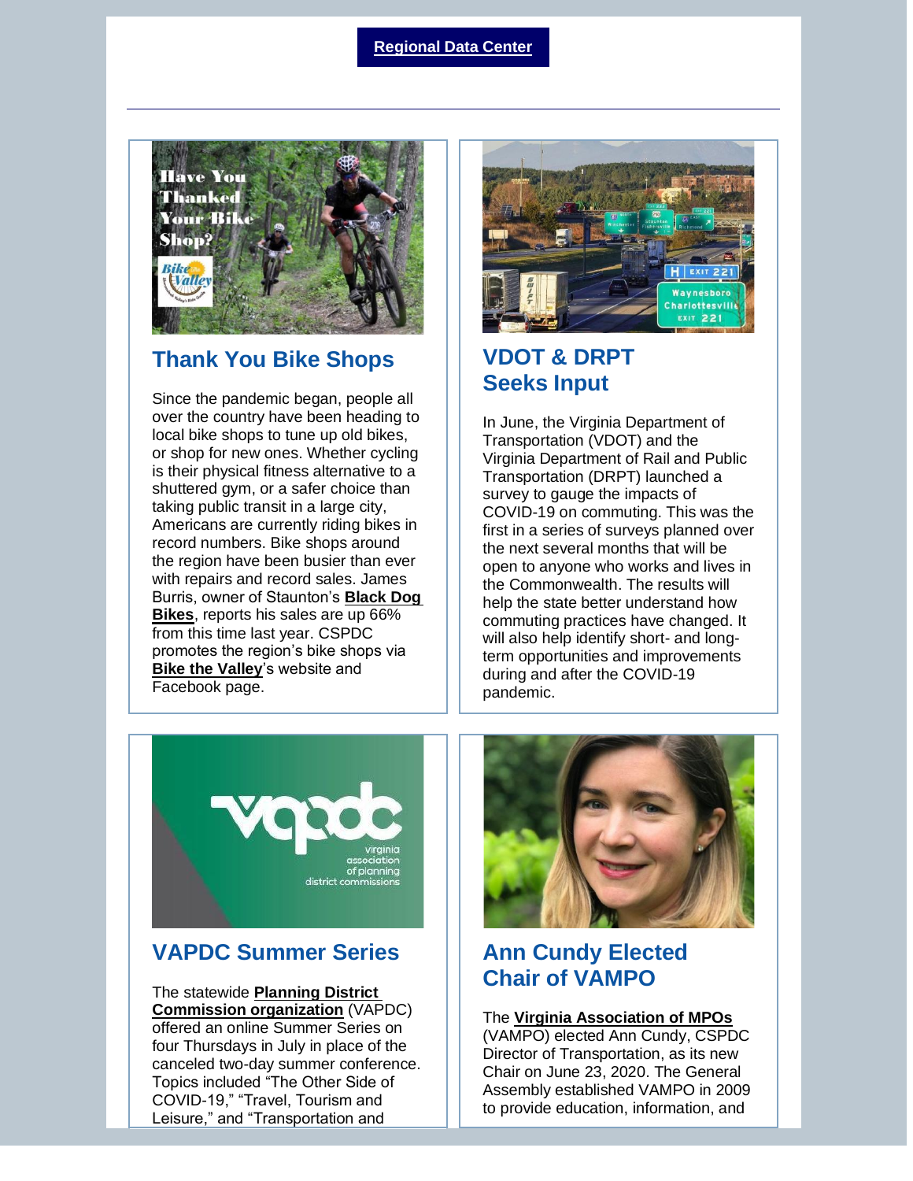#### **[Regional Data Center](http://r20.rs6.net/tn.jsp?f=001ZPbcsocQ188OC5GvY0xAUJ5eUqOyenqvXTfGopFEdYzMpGvaSPMjjKt2FDot5RXWCjgGMO_IDiITEwPOgK9GQJzX8UM1HKXQ5MrNWcsjSccdjGuQiZxNybhYIOF667w1tBewyFUYGTp1WUGX_Yct_z6NpZOeTIfN&c=ju8fSfCCDVI-zE-jOs-VrQ0U6Gg-iO8Cs3zc5Fzk1_E1upzZDV9QhA==&ch=h0xwvPShMrvXRcRnOalYyOHZIKAqqpDrPzVCY3AzsUwNxQ4v_sskHg==)**



## **Thank You Bike Shops**

Since the pandemic began, people all over the country have been heading to local bike shops to tune up old bikes, or shop for new ones. Whether cycling is their physical fitness alternative to a shuttered gym, or a safer choice than taking public transit in a large city, Americans are currently riding bikes in record numbers. Bike shops around the region have been busier than ever with repairs and record sales. James Burris, owner of Staunton's **[Black Dog](http://r20.rs6.net/tn.jsp?f=001ZPbcsocQ188OC5GvY0xAUJ5eUqOyenqvXTfGopFEdYzMpGvaSPMjjD3eKLQS81dVFwCLkpia3wmUnfKQ92mbt3kZZNpHuCTQCWix5ebDoVDn7P_ZTaGRwlwDQzyWxvyDZchCQQsjZU0AFYrRP12iyw==&c=ju8fSfCCDVI-zE-jOs-VrQ0U6Gg-iO8Cs3zc5Fzk1_E1upzZDV9QhA==&ch=h0xwvPShMrvXRcRnOalYyOHZIKAqqpDrPzVCY3AzsUwNxQ4v_sskHg==)  [Bikes](http://r20.rs6.net/tn.jsp?f=001ZPbcsocQ188OC5GvY0xAUJ5eUqOyenqvXTfGopFEdYzMpGvaSPMjjD3eKLQS81dVFwCLkpia3wmUnfKQ92mbt3kZZNpHuCTQCWix5ebDoVDn7P_ZTaGRwlwDQzyWxvyDZchCQQsjZU0AFYrRP12iyw==&c=ju8fSfCCDVI-zE-jOs-VrQ0U6Gg-iO8Cs3zc5Fzk1_E1upzZDV9QhA==&ch=h0xwvPShMrvXRcRnOalYyOHZIKAqqpDrPzVCY3AzsUwNxQ4v_sskHg==)**, reports his sales are up 66% from this time last year. CSPDC promotes the region's bike shops via **[Bike the Valley](http://r20.rs6.net/tn.jsp?f=001ZPbcsocQ188OC5GvY0xAUJ5eUqOyenqvXTfGopFEdYzMpGvaSPMjjNLoF8_HqTXdrgjlzghsbO8fkv2o1RjBzqQVOq3LcK4ZqsCUiq5INKGt4cZJHmINp9IwPlHiqGntYkRp6Fz28ndf1EvDXRS0Rw==&c=ju8fSfCCDVI-zE-jOs-VrQ0U6Gg-iO8Cs3zc5Fzk1_E1upzZDV9QhA==&ch=h0xwvPShMrvXRcRnOalYyOHZIKAqqpDrPzVCY3AzsUwNxQ4v_sskHg==)**'s website and Facebook page.



## **VDOT & DRPT Seeks Input**

In June, the Virginia Department of Transportation (VDOT) and the Virginia Department of Rail and Public Transportation (DRPT) launched a survey to gauge the impacts of COVID-19 on commuting. This was the first in a series of surveys planned over the next several months that will be open to anyone who works and lives in the Commonwealth. The results will help the state better understand how commuting practices have changed. It will also help identify short- and longterm opportunities and improvements during and after the COVID-19 pandemic.



## **VAPDC Summer Series**

The statewide **[Planning District](http://r20.rs6.net/tn.jsp?f=001ZPbcsocQ188OC5GvY0xAUJ5eUqOyenqvXTfGopFEdYzMpGvaSPMjjD3eKLQS81dV9Gp2Ztbrm9ZLo2n7_i8wmrla3TzqhCgtB28JH6dlF5O8wyKlBB-QCjkugKQoZJl078qSRtSK2Dl4YG8DZkR3IZaMNoIR82ezkl_HKlITBNMOYoGEn7ir6Q==&c=ju8fSfCCDVI-zE-jOs-VrQ0U6Gg-iO8Cs3zc5Fzk1_E1upzZDV9QhA==&ch=h0xwvPShMrvXRcRnOalYyOHZIKAqqpDrPzVCY3AzsUwNxQ4v_sskHg==)  [Commission organization](http://r20.rs6.net/tn.jsp?f=001ZPbcsocQ188OC5GvY0xAUJ5eUqOyenqvXTfGopFEdYzMpGvaSPMjjD3eKLQS81dV9Gp2Ztbrm9ZLo2n7_i8wmrla3TzqhCgtB28JH6dlF5O8wyKlBB-QCjkugKQoZJl078qSRtSK2Dl4YG8DZkR3IZaMNoIR82ezkl_HKlITBNMOYoGEn7ir6Q==&c=ju8fSfCCDVI-zE-jOs-VrQ0U6Gg-iO8Cs3zc5Fzk1_E1upzZDV9QhA==&ch=h0xwvPShMrvXRcRnOalYyOHZIKAqqpDrPzVCY3AzsUwNxQ4v_sskHg==)** (VAPDC) offered an online Summer Series on four Thursdays in July in place of the canceled two-day summer conference. Topics included "The Other Side of COVID-19," "Travel, Tourism and Leisure," and "Transportation and



## **Ann Cundy Elected Chair of VAMPO**

#### The **[Virginia Association of MPOs](http://r20.rs6.net/tn.jsp?f=001ZPbcsocQ188OC5GvY0xAUJ5eUqOyenqvXTfGopFEdYzMpGvaSPMjjD3eKLQS81dVUgmrBVz8BUyG5H1ds1AJBvVcJ2LVo6MWmo6AhE2Tvp185pGoEvIXPg6Kt_ebALzBpwHvF-fZ0h8=&c=ju8fSfCCDVI-zE-jOs-VrQ0U6Gg-iO8Cs3zc5Fzk1_E1upzZDV9QhA==&ch=h0xwvPShMrvXRcRnOalYyOHZIKAqqpDrPzVCY3AzsUwNxQ4v_sskHg==)**

(VAMPO) elected Ann Cundy, CSPDC Director of Transportation, as its new Chair on June 23, 2020. The General Assembly established VAMPO in 2009 to provide education, information, and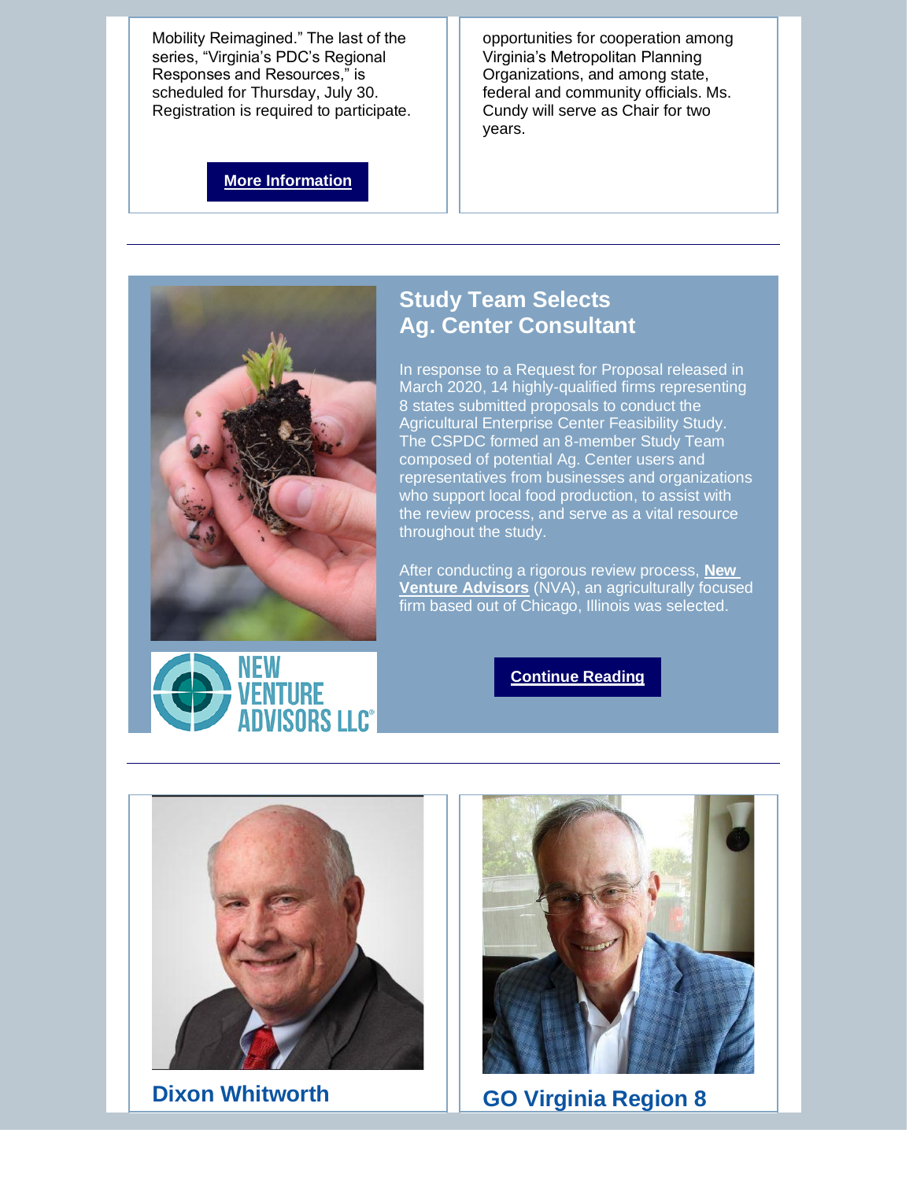Mobility Reimagined." The last of the series, "Virginia's PDC's Regional Responses and Resources," is scheduled for Thursday, July 30. Registration is required to participate.

opportunities for cooperation among Virginia's Metropolitan Planning Organizations, and among state, federal and community officials. Ms. Cundy will serve as Chair for two years.

**[More Information](http://r20.rs6.net/tn.jsp?f=001ZPbcsocQ188OC5GvY0xAUJ5eUqOyenqvXTfGopFEdYzMpGvaSPMjjD3eKLQS81dV__vQgtuJvEOZnLehjdidDLGNMfyZSYXCrd_ZwPYCGcHQXow6klxUL0GdmLkD9Ai4FUbamzgriYhsQGxPtXFmVRbnjfzogF2R&c=ju8fSfCCDVI-zE-jOs-VrQ0U6Gg-iO8Cs3zc5Fzk1_E1upzZDV9QhA==&ch=h0xwvPShMrvXRcRnOalYyOHZIKAqqpDrPzVCY3AzsUwNxQ4v_sskHg==)**





## **Study Team Selects Ag. Center Consultant**

In response to a Request for Proposal released in March 2020, 14 highly-qualified firms representing 8 states submitted proposals to conduct the Agricultural Enterprise Center Feasibility Study. The CSPDC formed an 8-member Study Team composed of potential Ag. Center users and representatives from businesses and organizations who support local food production, to assist with the review process, and serve as a vital resource throughout the study.

After conducting a rigorous review process, **[New](http://r20.rs6.net/tn.jsp?f=001ZPbcsocQ188OC5GvY0xAUJ5eUqOyenqvXTfGopFEdYzMpGvaSPMjjD3eKLQS81dVagicjA_tTEn68UKFSiolIxHcl4ogcHs9lPmbLUF4j47UFpnLoSPaV0JAZ97MO5ksVd4LkJdOj2dDGMuklrI53JFGDaQ2ew7M&c=ju8fSfCCDVI-zE-jOs-VrQ0U6Gg-iO8Cs3zc5Fzk1_E1upzZDV9QhA==&ch=h0xwvPShMrvXRcRnOalYyOHZIKAqqpDrPzVCY3AzsUwNxQ4v_sskHg==)  [Venture Advisors](http://r20.rs6.net/tn.jsp?f=001ZPbcsocQ188OC5GvY0xAUJ5eUqOyenqvXTfGopFEdYzMpGvaSPMjjD3eKLQS81dVagicjA_tTEn68UKFSiolIxHcl4ogcHs9lPmbLUF4j47UFpnLoSPaV0JAZ97MO5ksVd4LkJdOj2dDGMuklrI53JFGDaQ2ew7M&c=ju8fSfCCDVI-zE-jOs-VrQ0U6Gg-iO8Cs3zc5Fzk1_E1upzZDV9QhA==&ch=h0xwvPShMrvXRcRnOalYyOHZIKAqqpDrPzVCY3AzsUwNxQ4v_sskHg==)** (NVA), an agriculturally focused firm based out of Chicago, Illinois was selected.

#### **[Continue Reading](http://r20.rs6.net/tn.jsp?f=001ZPbcsocQ188OC5GvY0xAUJ5eUqOyenqvXTfGopFEdYzMpGvaSPMjjD3eKLQS81dVOAqoUB7ztIcurkEvH97Sv_oV98Vdkf2YhXLuAGeAl4jaQXB-6eV_AMAzZdKYoEMsM01-DUW-HXsE0x4cDNF5SaUpKQifloocJGdSe7KbPI9_aHzeTUMoKEz-Wgt9waILpgPuu9dFxF1Jy1yD7s3Buf0xDeruL235&c=ju8fSfCCDVI-zE-jOs-VrQ0U6Gg-iO8Cs3zc5Fzk1_E1upzZDV9QhA==&ch=h0xwvPShMrvXRcRnOalYyOHZIKAqqpDrPzVCY3AzsUwNxQ4v_sskHg==)**





**Dixon Whitworth GO Virginia Region 8**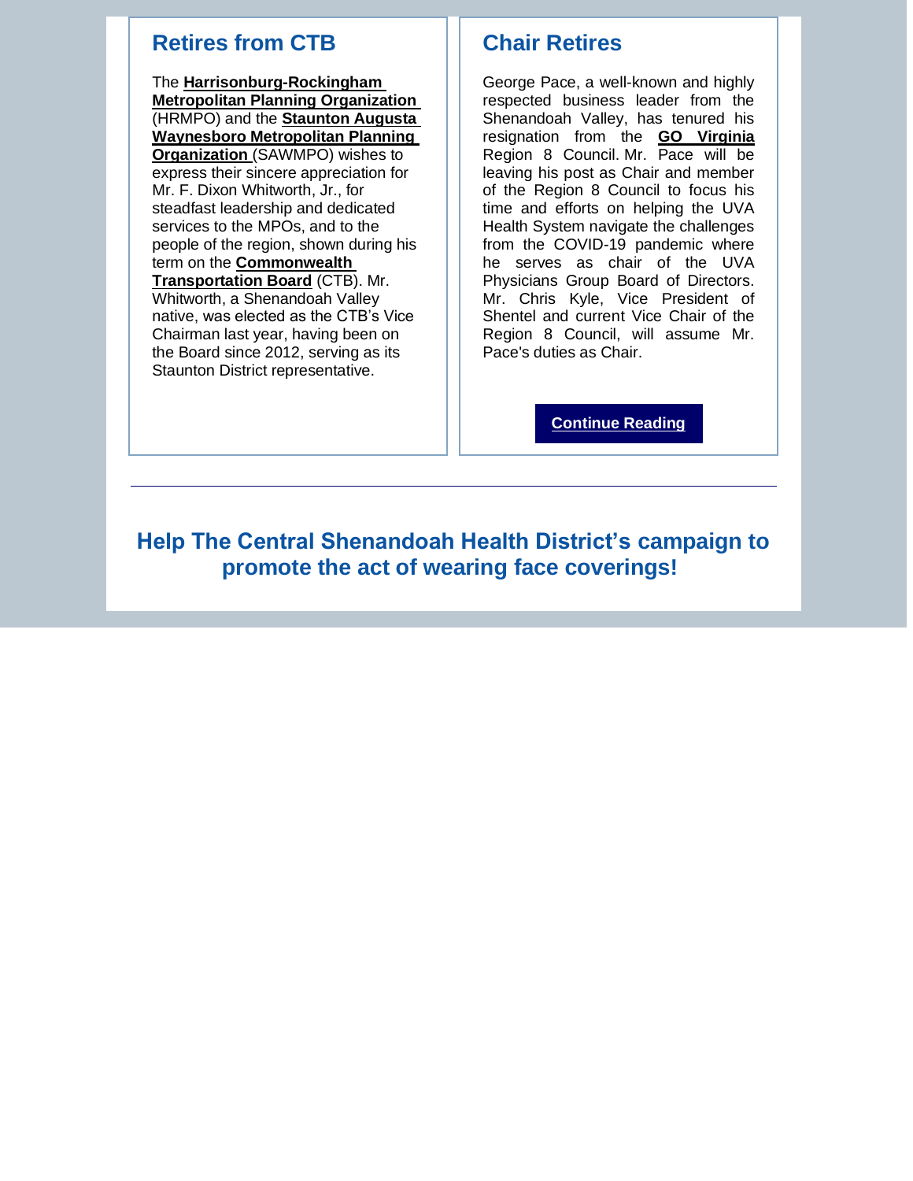## **Retires from CTB**

The **[Harrisonburg-Rockingham](http://r20.rs6.net/tn.jsp?f=001ZPbcsocQ188OC5GvY0xAUJ5eUqOyenqvXTfGopFEdYzMpGvaSPMjjKtyHnwzziAQEd1d4-zpyQMIbUEphPLZqH9_nQ0KYBXdB91ROIPrm9uqvrEhBsLoj6ITqh2JE8y26z7pcQGFvIyL-k57Ka2riw==&c=ju8fSfCCDVI-zE-jOs-VrQ0U6Gg-iO8Cs3zc5Fzk1_E1upzZDV9QhA==&ch=h0xwvPShMrvXRcRnOalYyOHZIKAqqpDrPzVCY3AzsUwNxQ4v_sskHg==)  [Metropolitan Planning Organization](http://r20.rs6.net/tn.jsp?f=001ZPbcsocQ188OC5GvY0xAUJ5eUqOyenqvXTfGopFEdYzMpGvaSPMjjKtyHnwzziAQEd1d4-zpyQMIbUEphPLZqH9_nQ0KYBXdB91ROIPrm9uqvrEhBsLoj6ITqh2JE8y26z7pcQGFvIyL-k57Ka2riw==&c=ju8fSfCCDVI-zE-jOs-VrQ0U6Gg-iO8Cs3zc5Fzk1_E1upzZDV9QhA==&ch=h0xwvPShMrvXRcRnOalYyOHZIKAqqpDrPzVCY3AzsUwNxQ4v_sskHg==)**  (HRMPO) and the **[Staunton Augusta](http://r20.rs6.net/tn.jsp?f=001ZPbcsocQ188OC5GvY0xAUJ5eUqOyenqvXTfGopFEdYzMpGvaSPMjjPG00UzbQDTWCEyd_pTbwToSrfCaH_yPVfX5rsdvQA3-NIXgsfbBEb4m3XiZHvZLasP3gCLWz3RR4lJh4W-lBIVEgIJYbSlDEw==&c=ju8fSfCCDVI-zE-jOs-VrQ0U6Gg-iO8Cs3zc5Fzk1_E1upzZDV9QhA==&ch=h0xwvPShMrvXRcRnOalYyOHZIKAqqpDrPzVCY3AzsUwNxQ4v_sskHg==)  [Waynesboro Metropolitan Planning](http://r20.rs6.net/tn.jsp?f=001ZPbcsocQ188OC5GvY0xAUJ5eUqOyenqvXTfGopFEdYzMpGvaSPMjjPG00UzbQDTWCEyd_pTbwToSrfCaH_yPVfX5rsdvQA3-NIXgsfbBEb4m3XiZHvZLasP3gCLWz3RR4lJh4W-lBIVEgIJYbSlDEw==&c=ju8fSfCCDVI-zE-jOs-VrQ0U6Gg-iO8Cs3zc5Fzk1_E1upzZDV9QhA==&ch=h0xwvPShMrvXRcRnOalYyOHZIKAqqpDrPzVCY3AzsUwNxQ4v_sskHg==)  [Organization](http://r20.rs6.net/tn.jsp?f=001ZPbcsocQ188OC5GvY0xAUJ5eUqOyenqvXTfGopFEdYzMpGvaSPMjjPG00UzbQDTWCEyd_pTbwToSrfCaH_yPVfX5rsdvQA3-NIXgsfbBEb4m3XiZHvZLasP3gCLWz3RR4lJh4W-lBIVEgIJYbSlDEw==&c=ju8fSfCCDVI-zE-jOs-VrQ0U6Gg-iO8Cs3zc5Fzk1_E1upzZDV9QhA==&ch=h0xwvPShMrvXRcRnOalYyOHZIKAqqpDrPzVCY3AzsUwNxQ4v_sskHg==)** (SAWMPO) wishes to express their sincere appreciation for Mr. F. Dixon Whitworth, Jr., for steadfast leadership and dedicated services to the MPOs, and to the people of the region, shown during his term on the **[Commonwealth](http://r20.rs6.net/tn.jsp?f=001ZPbcsocQ188OC5GvY0xAUJ5eUqOyenqvXTfGopFEdYzMpGvaSPMjjKUHjMsgni9HtTmCzTrne7OmdDX6m53YGc836HgnEdcicCiXFWtiRoWdZlhhCNobucsH1nHbxj6KUOOCeaJCIN4PgT2u-lpM6w==&c=ju8fSfCCDVI-zE-jOs-VrQ0U6Gg-iO8Cs3zc5Fzk1_E1upzZDV9QhA==&ch=h0xwvPShMrvXRcRnOalYyOHZIKAqqpDrPzVCY3AzsUwNxQ4v_sskHg==)  [Transportation Board](http://r20.rs6.net/tn.jsp?f=001ZPbcsocQ188OC5GvY0xAUJ5eUqOyenqvXTfGopFEdYzMpGvaSPMjjKUHjMsgni9HtTmCzTrne7OmdDX6m53YGc836HgnEdcicCiXFWtiRoWdZlhhCNobucsH1nHbxj6KUOOCeaJCIN4PgT2u-lpM6w==&c=ju8fSfCCDVI-zE-jOs-VrQ0U6Gg-iO8Cs3zc5Fzk1_E1upzZDV9QhA==&ch=h0xwvPShMrvXRcRnOalYyOHZIKAqqpDrPzVCY3AzsUwNxQ4v_sskHg==)** (CTB). Mr. Whitworth, a Shenandoah Valley native, was elected as the CTB's Vice Chairman last year, having been on the Board since 2012, serving as its Staunton District representative.

## **Chair Retires**

George Pace, a well-known and highly respected business leader from the Shenandoah Valley, has tenured his resignation from the **[GO Virginia](http://r20.rs6.net/tn.jsp?f=001ZPbcsocQ188OC5GvY0xAUJ5eUqOyenqvXTfGopFEdYzMpGvaSPMjjKUHjMsgni9HVggRiBZHrhI1jXKsrxtvyGMK8N65WQnEgE2u1JnlwbeOoBfO9GRPi5yhHhRBugBzJDfsaz_pifo3PSPnCdJtBA==&c=ju8fSfCCDVI-zE-jOs-VrQ0U6Gg-iO8Cs3zc5Fzk1_E1upzZDV9QhA==&ch=h0xwvPShMrvXRcRnOalYyOHZIKAqqpDrPzVCY3AzsUwNxQ4v_sskHg==)**  Region 8 Council. Mr. Pace will be leaving his post as Chair and member of the Region 8 Council to focus his time and efforts on helping the UVA Health System navigate the challenges from the COVID-19 pandemic where he serves as chair of the UVA Physicians Group Board of Directors. Mr. Chris Kyle, Vice President of Shentel and current Vice Chair of the Region 8 Council, will assume Mr. Pace's duties as Chair.

**[Continue Reading](http://r20.rs6.net/tn.jsp?f=001ZPbcsocQ188OC5GvY0xAUJ5eUqOyenqvXTfGopFEdYzMpGvaSPMjjD3eKLQS81dVazJccCDLLBNI6eFCodQpWnMQ8WkPKxQwIY6gW9B4wTCvRbXbUlTTE_NPZFVUNaA321dupqafCV_ZnW60ANqXtJSMHl-cwsaGxyedBd9pvJmtATAc-YmV4pHn7rBkuvMpsDIgbPwOz7uYajEDo_UhSbIBlI4D3sQfJOYXK5_-PCY=&c=ju8fSfCCDVI-zE-jOs-VrQ0U6Gg-iO8Cs3zc5Fzk1_E1upzZDV9QhA==&ch=h0xwvPShMrvXRcRnOalYyOHZIKAqqpDrPzVCY3AzsUwNxQ4v_sskHg==)**

**Help The Central Shenandoah Health District's campaign to promote the act of wearing face coverings!**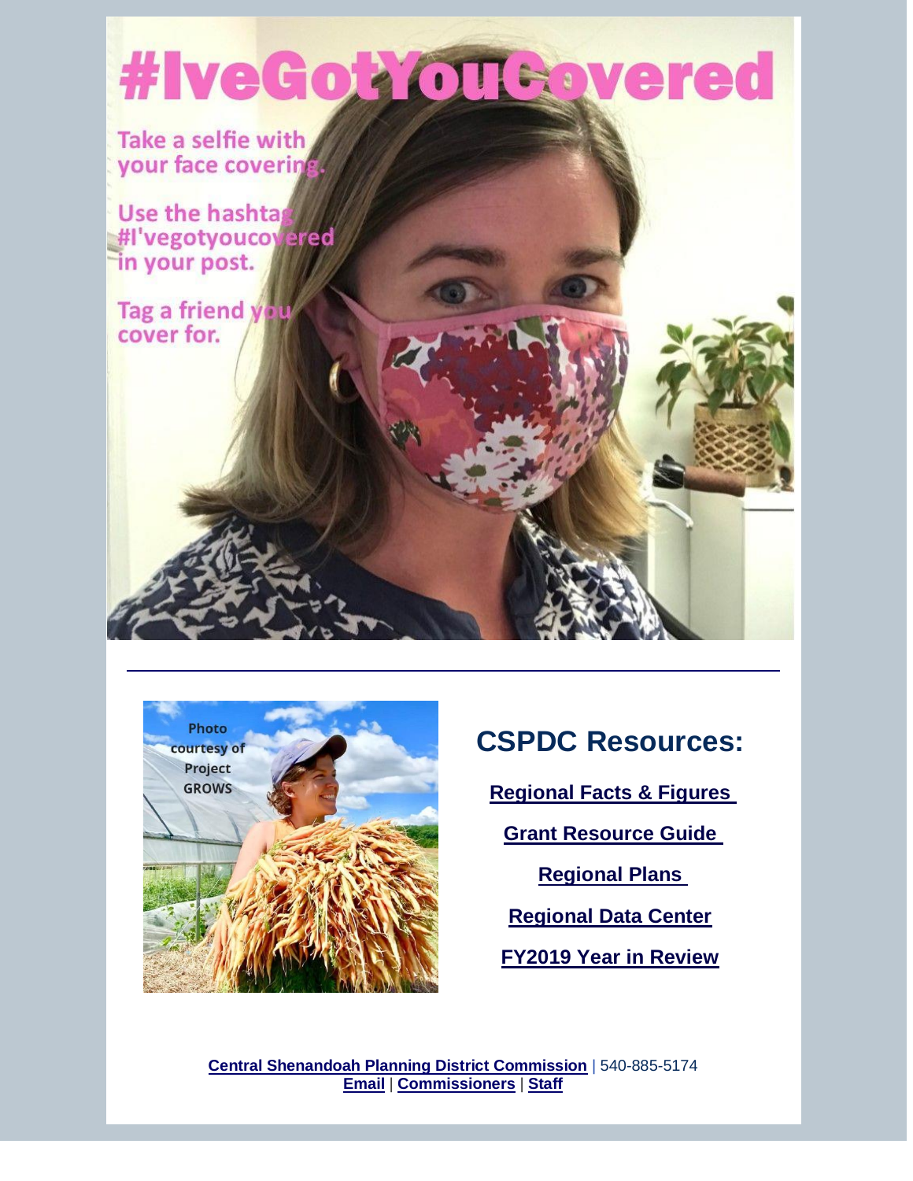# #IveGok OTGovered

Take a selfie with your face covering

Use the hashta #I'vegotyoucoyered in your post.

Tag a friend you cover for.



# **CSPDC Resources:**

**[Regional Facts & Figures](http://r20.rs6.net/tn.jsp?f=001ZPbcsocQ188OC5GvY0xAUJ5eUqOyenqvXTfGopFEdYzMpGvaSPMjjKUHjMsgni9H_No5UZRY-GcbV4Sm_EiD4girDpxiiLynnwEk628yP4dH7iX0qLS1OcW-QX8cPYu1S4iSsMxhm1hmjs3xreRzzQmOYCjvEVuF&c=ju8fSfCCDVI-zE-jOs-VrQ0U6Gg-iO8Cs3zc5Fzk1_E1upzZDV9QhA==&ch=h0xwvPShMrvXRcRnOalYyOHZIKAqqpDrPzVCY3AzsUwNxQ4v_sskHg==)** 

**[Grant Resource Guide](http://r20.rs6.net/tn.jsp?f=001ZPbcsocQ188OC5GvY0xAUJ5eUqOyenqvXTfGopFEdYzMpGvaSPMjjCqQYY2HEaFmu6s6lS_Fzm-2V9a-yenbo6Thtk8c_eqtgJc_kDeJP4uPfD_u8Y8NUppFh_SlGqwfn6pPrCQmE_a_NdvUduYru0oMhfBcnr7g_q5lHJ9iQ8I=&c=ju8fSfCCDVI-zE-jOs-VrQ0U6Gg-iO8Cs3zc5Fzk1_E1upzZDV9QhA==&ch=h0xwvPShMrvXRcRnOalYyOHZIKAqqpDrPzVCY3AzsUwNxQ4v_sskHg==)** 

**[Regional Plans](http://r20.rs6.net/tn.jsp?f=001ZPbcsocQ188OC5GvY0xAUJ5eUqOyenqvXTfGopFEdYzMpGvaSPMjjKt2FDot5RXWK7jBLwgV2K5UbLSoVy0LZqQSiUJdBWhcGskL6_nhh8UwzHez9qtTyfNAUgo5jol1BBe-a113QJl1TYULWvVWGIk7UG4vQ5T0&c=ju8fSfCCDVI-zE-jOs-VrQ0U6Gg-iO8Cs3zc5Fzk1_E1upzZDV9QhA==&ch=h0xwvPShMrvXRcRnOalYyOHZIKAqqpDrPzVCY3AzsUwNxQ4v_sskHg==)** 

**[Regional Data Center](http://r20.rs6.net/tn.jsp?f=001ZPbcsocQ188OC5GvY0xAUJ5eUqOyenqvXTfGopFEdYzMpGvaSPMjjKt2FDot5RXWCjgGMO_IDiITEwPOgK9GQJzX8UM1HKXQ5MrNWcsjSccdjGuQiZxNybhYIOF667w1tBewyFUYGTp1WUGX_Yct_z6NpZOeTIfN&c=ju8fSfCCDVI-zE-jOs-VrQ0U6Gg-iO8Cs3zc5Fzk1_E1upzZDV9QhA==&ch=h0xwvPShMrvXRcRnOalYyOHZIKAqqpDrPzVCY3AzsUwNxQ4v_sskHg==)**

**[FY2019 Year in Review](http://r20.rs6.net/tn.jsp?f=001ZPbcsocQ188OC5GvY0xAUJ5eUqOyenqvXTfGopFEdYzMpGvaSPMjjPXactJ9ZC_OLAQ-GeaCIlu2U3pjA9jYIwz-srWY0T8YwxroOxTFYfbez0nHUZ1s17NYL3rJqoOCDXwML03X4IBrUY1W8klvUt3WC8lHBmh9D_M0lrMDBVHXcimdkWCmXlxeojzlFlJL1Z1JBiNMfArcDUSLcnRbts0l1lefz1Bf7XloSBQb5KI=&c=ju8fSfCCDVI-zE-jOs-VrQ0U6Gg-iO8Cs3zc5Fzk1_E1upzZDV9QhA==&ch=h0xwvPShMrvXRcRnOalYyOHZIKAqqpDrPzVCY3AzsUwNxQ4v_sskHg==)**

**[Central Shenandoah Planning District Commission](http://r20.rs6.net/tn.jsp?f=001ZPbcsocQ188OC5GvY0xAUJ5eUqOyenqvXTfGopFEdYzMpGvaSPMjjHrpsGekmLMzDlcpjGAiamFUYSlyWgVCalaANzNCkq9IJg1E648s-eVm6nBzSkglFEVUHaK7B0zxm6IyNIzDfZKKfI2xpp-ObQ==&c=ju8fSfCCDVI-zE-jOs-VrQ0U6Gg-iO8Cs3zc5Fzk1_E1upzZDV9QhA==&ch=h0xwvPShMrvXRcRnOalYyOHZIKAqqpDrPzVCY3AzsUwNxQ4v_sskHg==)** | 540-885-5174 **[Email](mailto:kimberly@cspdc.org)** | **[Commissioners](http://r20.rs6.net/tn.jsp?f=001ZPbcsocQ188OC5GvY0xAUJ5eUqOyenqvXTfGopFEdYzMpGvaSPMjjKUHjMsgni9HPdI7a_q-hnF4_V8UUA_G6eHZMa2NyXGAYSvH7DZxP7UfHAR4rff-85wNsPRJ9SKVHx2HtcGb46TTjyH9pYEW8bFYrmg30914P6AGoPbEnHAdTEjr521RrA==&c=ju8fSfCCDVI-zE-jOs-VrQ0U6Gg-iO8Cs3zc5Fzk1_E1upzZDV9QhA==&ch=h0xwvPShMrvXRcRnOalYyOHZIKAqqpDrPzVCY3AzsUwNxQ4v_sskHg==)** | **[Staff](http://r20.rs6.net/tn.jsp?f=001ZPbcsocQ188OC5GvY0xAUJ5eUqOyenqvXTfGopFEdYzMpGvaSPMjjKUHjMsgni9HIvBoaAOGBK5hUwpL660i16anWZ6QZ23VqbmfK4chxJjIqvmZFDPvnq2N7YNdOK2MU-3FAQez91nK0txKquGUwaGy4zF752GKJcLKEjBAAjyDqPZE9-BIGMuSn2UvNj0p6T5KvT2ZUu3zIl0b0AzGKii28jtBVEMhELGDXrv88alBEhwFWYNBM4mJFrRq9V7wxjB8MVmYKLuEooQ0L0e--eVtn8y0KOYqgcWYDUJEOXk=&c=ju8fSfCCDVI-zE-jOs-VrQ0U6Gg-iO8Cs3zc5Fzk1_E1upzZDV9QhA==&ch=h0xwvPShMrvXRcRnOalYyOHZIKAqqpDrPzVCY3AzsUwNxQ4v_sskHg==)**